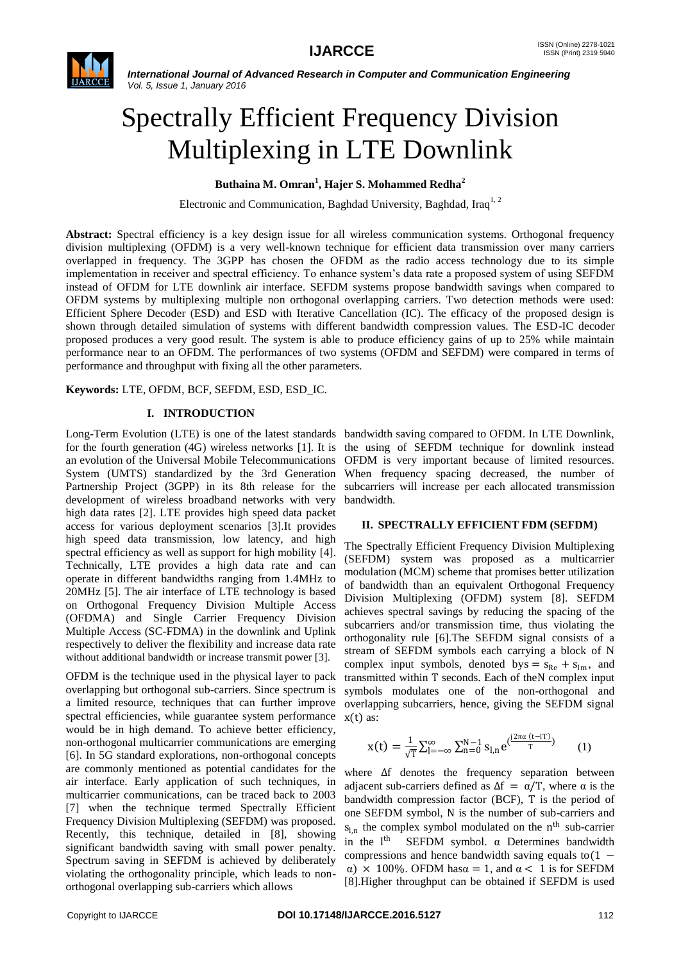

# Spectrally Efficient Frequency Division Multiplexing in LTE Downlink

**Buthaina M. Omran<sup>1</sup> , Hajer S. Mohammed Redha<sup>2</sup>**

Electronic and Communication, Baghdad University, Baghdad, Iraq<sup>1, 2</sup>

**Abstract:** Spectral efficiency is a key design issue for all wireless communication systems. Orthogonal frequency division multiplexing (OFDM) is a very well-known technique for efficient data transmission over many carriers overlapped in frequency. The 3GPP has chosen the OFDM as the radio access technology due to its simple implementation in receiver and spectral efficiency. To enhance system's data rate a proposed system of using SEFDM instead of OFDM for LTE downlink air interface. SEFDM systems propose bandwidth savings when compared to OFDM systems by multiplexing multiple non orthogonal overlapping carriers. Two detection methods were used: Efficient Sphere Decoder (ESD) and ESD with Iterative Cancellation (IC). The efficacy of the proposed design is shown through detailed simulation of systems with different bandwidth compression values. The ESD-IC decoder proposed produces a very good result. The system is able to produce efficiency gains of up to 25% while maintain performance near to an OFDM. The performances of two systems (OFDM and SEFDM) were compared in terms of performance and throughput with fixing all the other parameters.

**Keywords:** LTE, OFDM, BCF, SEFDM, ESD, ESD\_IC.

## **I. INTRODUCTION**

Long-Term Evolution (LTE) is one of the latest standards bandwidth saving compared to OFDM. In LTE Downlink, for the fourth generation (4G) wireless networks [1]. It is an evolution of the Universal Mobile Telecommunications System (UMTS) standardized by the 3rd Generation Partnership Project (3GPP) in its 8th release for the development of wireless broadband networks with very high data rates [2]. LTE provides high speed data packet access for various deployment scenarios [3].It provides high speed data transmission, low latency, and high spectral efficiency as well as support for high mobility [4]. Technically, LTE provides a high data rate and can operate in different bandwidths ranging from 1.4MHz to 20MHz [5]. The air interface of LTE technology is based on Orthogonal Frequency Division Multiple Access (OFDMA) and Single Carrier Frequency Division Multiple Access (SC-FDMA) in the downlink and Uplink respectively to deliver the flexibility and increase data rate without additional bandwidth or increase transmit power [3].

OFDM is the technique used in the physical layer to pack overlapping but orthogonal sub-carriers. Since spectrum is a limited resource, techniques that can further improve spectral efficiencies, while guarantee system performance would be in high demand. To achieve better efficiency, non-orthogonal multicarrier communications are emerging [6]. In 5G standard explorations, non-orthogonal concepts are commonly mentioned as potential candidates for the air interface. Early application of such techniques, in multicarrier communications, can be traced back to 2003 [7] when the technique termed Spectrally Efficient Frequency Division Multiplexing (SEFDM) was proposed. Recently, this technique, detailed in [8], showing significant bandwidth saving with small power penalty. Spectrum saving in SEFDM is achieved by deliberately violating the orthogonality principle, which leads to nonorthogonal overlapping sub-carriers which allows

the using of SEFDM technique for downlink instead OFDM is very important because of limited resources. When frequency spacing decreased, the number of subcarriers will increase per each allocated transmission bandwidth.

#### **II. SPECTRALLY EFFICIENT FDM (SEFDM)**

The Spectrally Efficient Frequency Division Multiplexing (SEFDM) system was proposed as a multicarrier modulation (MCM) scheme that promises better utilization of bandwidth than an equivalent Orthogonal Frequency Division Multiplexing (OFDM) system [8]. SEFDM achieves spectral savings by reducing the spacing of the subcarriers and/or transmission time, thus violating the orthogonality rule [6].The SEFDM signal consists of a stream of SEFDM symbols each carrying a block of N complex input symbols, denoted bys =  $s_{Re}$  +  $s_{Im}$ , and transmitted within T seconds. Each of theN complex input symbols modulates one of the non-orthogonal and overlapping subcarriers, hence, giving the SEFDM signal  $x(t)$  as:

$$
x(t)=\tfrac{1}{\sqrt{T}}\sum_{l=-\infty}^{\infty}\sum_{n=0}^{N-1}s_{l,n}e^{(\tfrac{j2\pi\alpha}{T} (t-lT)})\qquad \quad \ (1)
$$

where ∆f denotes the frequency separation between adjacent sub-carriers defined as  $\Delta f = \alpha/T$ , where  $\alpha$  is the bandwidth compression factor (BCF), T is the period of one SEFDM symbol, N is the number of sub-carriers and  $s_{l,n}$  the complex symbol modulated on the n<sup>th</sup> sub-carrier in the  $l<sup>th</sup>$  SEFDM symbol.  $\alpha$  Determines bandwidth compressions and hence bandwidth saving equals to $(1$ α) × 100%. OFDM hasα = 1, and α < 1 is for SEFDM [8].Higher throughput can be obtained if SEFDM is used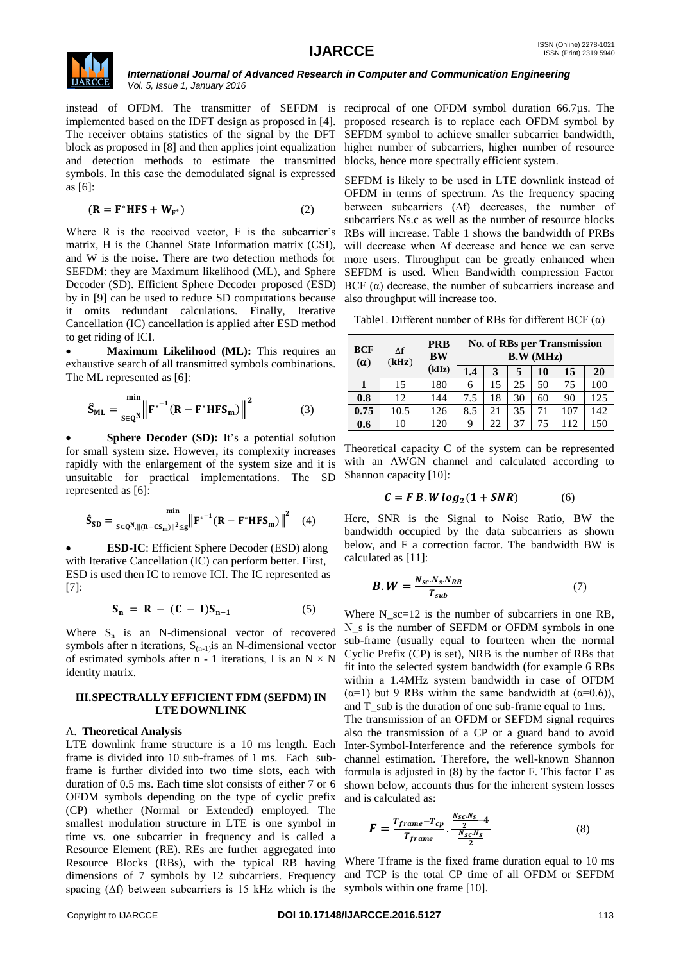

instead of OFDM. The transmitter of SEFDM is reciprocal of one OFDM symbol duration 66.7µs. The implemented based on the IDFT design as proposed in [4]. The receiver obtains statistics of the signal by the DFT block as proposed in [8] and then applies joint equalization and detection methods to estimate the transmitted symbols. In this case the demodulated signal is expressed as [6]:

$$
(\mathbf{R} = \mathbf{F}^* \mathbf{H} \mathbf{F} \mathbf{S} + \mathbf{W}_{\mathbf{F}^*})
$$
 (2)

Where R is the received vector, F is the subcarrier's matrix, H is the Channel State Information matrix (CSI), and W is the noise. There are two detection methods for SEFDM: they are Maximum likelihood (ML), and Sphere Decoder (SD). Efficient Sphere Decoder proposed (ESD) BCF (α) decrease, the number of subcarriers increase and by in [9] can be used to reduce SD computations because it omits redundant calculations. Finally, Iterative Cancellation (IC) cancellation is applied after ESD method to get riding of ICI.

 **Maximum Likelihood (ML):** This requires an exhaustive search of all transmitted symbols combinations. The ML represented as [6]:

$$
\hat{\mathbf{S}}_{\mathrm{ML}} = \frac{\min}{s \in \mathbf{Q}^N} \left\| \mathbf{F}^{*^{-1}} (\mathbf{R} - \mathbf{F}^* \mathbf{H} \mathbf{F} \mathbf{S}_{\mathrm{m}}) \right\|^2 \tag{3}
$$

**Sphere Decoder (SD):** It's a potential solution for small system size. However, its complexity increases rapidly with the enlargement of the system size and it is unsuitable for practical implementations. The SD represented as [6]:

$$
\hat{S}_{SD} = \min_{S \in Q^N, ||(R - CS_m)||^2 \le g} ||F^{*^{-1}}(R - F^*HFS_m)||^2 \quad (4)
$$

 **ESD-IC**: Efficient Sphere Decoder (ESD) along with Iterative Cancellation (IC) can perform better. First, ESD is used then IC to remove ICI. The IC represented as [7]:

$$
\mathbf{S}_n = \mathbf{R} - (\mathbf{C} - \mathbf{I})\mathbf{S}_{n-1} \tag{5}
$$

Where  $S_n$  is an N-dimensional vector of recovered symbols after n iterations,  $S_{(n-1)}$  is an N-dimensional vector of estimated symbols after n - 1 iterations, I is an  $N \times N$ identity matrix.

#### **III.SPECTRALLY EFFICIENT FDM (SEFDM) IN LTE DOWNLINK**

# A. **Theoretical Analysis**

LTE downlink frame structure is a 10 ms length. Each frame is divided into 10 sub-frames of 1 ms. Each subframe is further divided into two time slots, each with duration of 0.5 ms. Each time slot consists of either 7 or 6 OFDM symbols depending on the type of cyclic prefix (CP) whether (Normal or Extended) employed. The smallest modulation structure in LTE is one symbol in time vs. one subcarrier in frequency and is called a Resource Element (RE). REs are further aggregated into Resource Blocks (RBs), with the typical RB having dimensions of 7 symbols by 12 subcarriers. Frequency spacing (∆f) between subcarriers is 15 kHz which is the symbols within one frame [10].

proposed research is to replace each OFDM symbol by SEFDM symbol to achieve smaller subcarrier bandwidth, higher number of subcarriers, higher number of resource blocks, hence more spectrally efficient system.

SEFDM is likely to be used in LTE downlink instead of OFDM in terms of spectrum. As the frequency spacing between subcarriers (∆f) decreases, the number of subcarriers Ns.c as well as the number of resource blocks RBs will increase. Table 1 shows the bandwidth of PRBs will decrease when ∆f decrease and hence we can serve more users. Throughput can be greatly enhanced when SEFDM is used. When Bandwidth compression Factor also throughput will increase too.

Table1. Different number of RBs for different BCF  $(\alpha)$ 

| <b>BCF</b><br>$(\alpha)$ | $\Delta f$<br>(kHz) | <b>PRB</b><br><b>BW</b><br>(kHz) | <b>No. of RBs per Transmission</b><br>B.W (MHz) |    |    |    |     |     |
|--------------------------|---------------------|----------------------------------|-------------------------------------------------|----|----|----|-----|-----|
|                          |                     |                                  | 1.4                                             | 3  | 5  | 10 | 15  | 20  |
|                          | 15                  | 180                              | 6                                               | 15 | 25 | 50 | 75  | 100 |
| 0.8                      | 12                  | 144                              | 7.5                                             | 18 | 30 | 60 | 90  | 125 |
| 0.75                     | 10.5                | 126                              | 8.5                                             | 21 | 35 | 71 | 107 | 142 |
| 0.6                      | 10                  | 120                              | 9                                               | 22 | 37 | 75 | 112 | 150 |

Theoretical capacity C of the system can be represented with an AWGN channel and calculated according to Shannon capacity [10]:

$$
C = F B. W \log_2(1 + SNR) \tag{6}
$$

Here, SNR is the Signal to Noise Ratio, BW the bandwidth occupied by the data subcarriers as shown below, and F a correction factor. The bandwidth BW is calculated as [11]:

$$
B.W = \frac{N_{sc}.N_{s}.N_{RB}}{T_{sub}} \tag{7}
$$

Where  $N$ <sub>sc</sub>=12 is the number of subcarriers in one RB, N\_s is the number of SEFDM or OFDM symbols in one sub-frame (usually equal to fourteen when the normal Cyclic Prefix (CP) is set), NRB is the number of RBs that fit into the selected system bandwidth (for example 6 RBs within a 1.4MHz system bandwidth in case of OFDM ( $\alpha$ =1) but 9 RBs within the same bandwidth at ( $\alpha$ =0.6)), and T\_sub is the duration of one sub-frame equal to 1ms.

The transmission of an OFDM or SEFDM signal requires also the transmission of a CP or a guard band to avoid Inter-Symbol-Interference and the reference symbols for channel estimation. Therefore, the well-known Shannon formula is adjusted in (8) by the factor F. This factor F as shown below, accounts thus for the inherent system losses and is calculated as:

$$
F = \frac{T_{frame} - T_{cp}}{T_{frame}} \cdot \frac{\frac{N_{sc}N_s}{2} - 4}{\frac{N_{sc}N_s}{2}} \tag{8}
$$

Where Tframe is the fixed frame duration equal to 10 ms and TCP is the total CP time of all OFDM or SEFDM

#### Copyright to IJARCCE **DOI 10.17148/IJARCCE.2016.5127** 113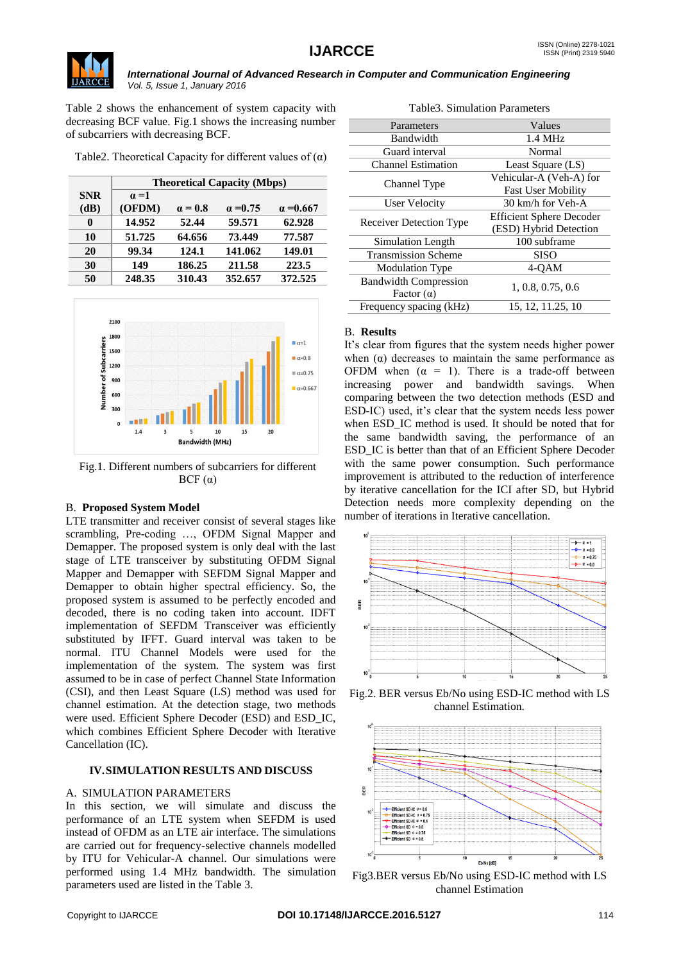

Table 2 shows the enhancement of system capacity with decreasing BCF value. Fig.1 shows the increasing number of subcarriers with decreasing BCF.

|  | Table2. Theoretical Capacity for different values of $(\alpha)$ |  |
|--|-----------------------------------------------------------------|--|
|  |                                                                 |  |

|            | <b>Theoretical Capacity (Mbps)</b> |                |                 |                  |  |
|------------|------------------------------------|----------------|-----------------|------------------|--|
| <b>SNR</b> | $\alpha = 1$                       |                |                 |                  |  |
| (dB)       | (OFDM)                             | $\alpha = 0.8$ | $\alpha = 0.75$ | $\alpha = 0.667$ |  |
| 0          | 14.952                             | 52.44          | 59.571          | 62.928           |  |
| 10         | 51.725                             | 64.656         | 73.449          | 77.587           |  |
| 20         | 99.34                              | 124.1          | 141.062         | 149.01           |  |
| 30         | 149                                | 186.25         | 211.58          | 223.5            |  |
| 50         | 248.35                             | 310.43         | 352.657         | 372.525          |  |



Fig.1. Different numbers of subcarriers for different  $BCF(\alpha)$ 

# B. **Proposed System Model**

LTE transmitter and receiver consist of several stages like scrambling, Pre-coding …, OFDM Signal Mapper and Demapper. The proposed system is only deal with the last stage of LTE transceiver by substituting OFDM Signal Mapper and Demapper with SEFDM Signal Mapper and Demapper to obtain higher spectral efficiency. So, the proposed system is assumed to be perfectly encoded and decoded, there is no coding taken into account. IDFT implementation of SEFDM Transceiver was efficiently substituted by IFFT. Guard interval was taken to be normal. ITU Channel Models were used for the implementation of the system. The system was first assumed to be in case of perfect Channel State Information (CSI), and then Least Square (LS) method was used for channel estimation. At the detection stage, two methods were used. Efficient Sphere Decoder (ESD) and ESD\_IC, which combines Efficient Sphere Decoder with Iterative Cancellation (IC).

# **IV.SIMULATION RESULTS AND DISCUSS**

# A. SIMULATION PARAMETERS

In this section, we will simulate and discuss the performance of an LTE system when SEFDM is used instead of OFDM as an LTE air interface. The simulations are carried out for frequency-selective channels modelled by ITU for Vehicular-A channel. Our simulations were performed using 1.4 MHz bandwidth. The simulation parameters used are listed in the Table 3.

| Table3. Simulation Parameters  |                                 |  |  |
|--------------------------------|---------------------------------|--|--|
| Parameters                     | Values                          |  |  |
| Bandwidth                      | $1.4 \text{ MHz}$               |  |  |
| Guard interval                 | Normal                          |  |  |
| <b>Channel Estimation</b>      | Least Square (LS)               |  |  |
|                                | Vehicular-A (Veh-A) for         |  |  |
| Channel Type                   | Fast User Mobility              |  |  |
| User Velocity                  | 30 km/h for Veh-A               |  |  |
|                                | <b>Efficient Sphere Decoder</b> |  |  |
| <b>Receiver Detection Type</b> | (ESD) Hybrid Detection          |  |  |
| Simulation Length              | 100 subframe                    |  |  |
| <b>Transmission Scheme</b>     | <b>SISO</b>                     |  |  |
| <b>Modulation Type</b>         | 4-OAM                           |  |  |
| <b>Bandwidth Compression</b>   |                                 |  |  |
| Factor $(\alpha)$              | 1, 0.8, 0.75, 0.6               |  |  |
| Frequency spacing (kHz)        | 15, 12, 11.25, 10               |  |  |
|                                |                                 |  |  |

## B. **Results**

It's clear from figures that the system needs higher power when  $(\alpha)$  decreases to maintain the same performance as OFDM when  $(\alpha = 1)$ . There is a trade-off between increasing power and bandwidth savings. When comparing between the two detection methods (ESD and ESD-IC) used, it's clear that the system needs less power when ESD IC method is used. It should be noted that for the same bandwidth saving, the performance of an ESD\_IC is better than that of an Efficient Sphere Decoder with the same power consumption. Such performance improvement is attributed to the reduction of interference by iterative cancellation for the ICI after SD, but Hybrid Detection needs more complexity depending on the number of iterations in Iterative cancellation.



Fig.2. BER versus Eb/No using ESD-IC method with LS channel Estimation.



Fig3.BER versus Eb/No using ESD-IC method with LS channel Estimation